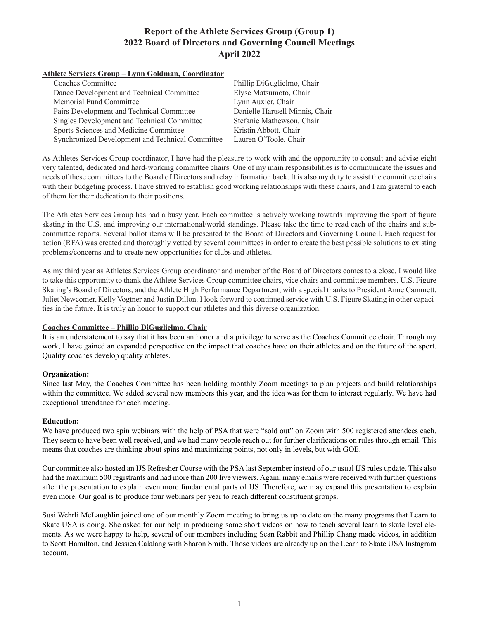### **Athlete Services Group – Lynn Goldman, Coordinator**

| Coaches Committee                                | Phillip DiGuglielmo, Chair      |
|--------------------------------------------------|---------------------------------|
| Dance Development and Technical Committee        | Elyse Matsumoto, Chair          |
| Memorial Fund Committee                          | Lynn Auxier, Chair              |
| Pairs Development and Technical Committee        | Danielle Hartsell Minnis, Chair |
| Singles Development and Technical Committee      | Stefanie Mathewson, Chair       |
| Sports Sciences and Medicine Committee           | Kristin Abbott, Chair           |
| Synchronized Development and Technical Committee | Lauren O'Toole, Chair           |

As Athletes Services Group coordinator, I have had the pleasure to work with and the opportunity to consult and advise eight very talented, dedicated and hard-working committee chairs. One of my main responsibilities is to communicate the issues and needs of these committees to the Board of Directors and relay information back. It is also my duty to assist the committee chairs with their budgeting process. I have strived to establish good working relationships with these chairs, and I am grateful to each of them for their dedication to their positions.

The Athletes Services Group has had a busy year. Each committee is actively working towards improving the sport of figure skating in the U.S. and improving our international/world standings. Please take the time to read each of the chairs and subcommittee reports. Several ballot items will be presented to the Board of Directors and Governing Council. Each request for action (RFA) was created and thoroughly vetted by several committees in order to create the best possible solutions to existing problems/concerns and to create new opportunities for clubs and athletes.

As my third year as Athletes Services Group coordinator and member of the Board of Directors comes to a close, I would like to take this opportunity to thank the Athlete Services Group committee chairs, vice chairs and committee members, U.S. Figure Skating's Board of Directors, and the Athlete High Performance Department, with a special thanks to President Anne Cammett, Juliet Newcomer, Kelly Vogtner and Justin Dillon. I look forward to continued service with U.S. Figure Skating in other capacities in the future. It is truly an honor to support our athletes and this diverse organization.

### **Coaches Committee – Phillip DiGuglielmo, Chair**

It is an understatement to say that it has been an honor and a privilege to serve as the Coaches Committee chair. Through my work, I have gained an expanded perspective on the impact that coaches have on their athletes and on the future of the sport. Quality coaches develop quality athletes.

### **Organization:**

Since last May, the Coaches Committee has been holding monthly Zoom meetings to plan projects and build relationships within the committee. We added several new members this year, and the idea was for them to interact regularly. We have had exceptional attendance for each meeting.

#### **Education:**

We have produced two spin webinars with the help of PSA that were "sold out" on Zoom with 500 registered attendees each. They seem to have been well received, and we had many people reach out for further clarifications on rules through email. This means that coaches are thinking about spins and maximizing points, not only in levels, but with GOE.

Our committee also hosted an IJS Refresher Course with the PSA last September instead of our usual IJS rules update. This also had the maximum 500 registrants and had more than 200 live viewers. Again, many emails were received with further questions after the presentation to explain even more fundamental parts of IJS. Therefore, we may expand this presentation to explain even more. Our goal is to produce four webinars per year to reach different constituent groups.

Susi Wehrli McLaughlin joined one of our monthly Zoom meeting to bring us up to date on the many programs that Learn to Skate USA is doing. She asked for our help in producing some short videos on how to teach several learn to skate level elements. As we were happy to help, several of our members including Sean Rabbit and Phillip Chang made videos, in addition to Scott Hamilton, and Jessica Calalang with Sharon Smith. Those videos are already up on the Learn to Skate USA Instagram account.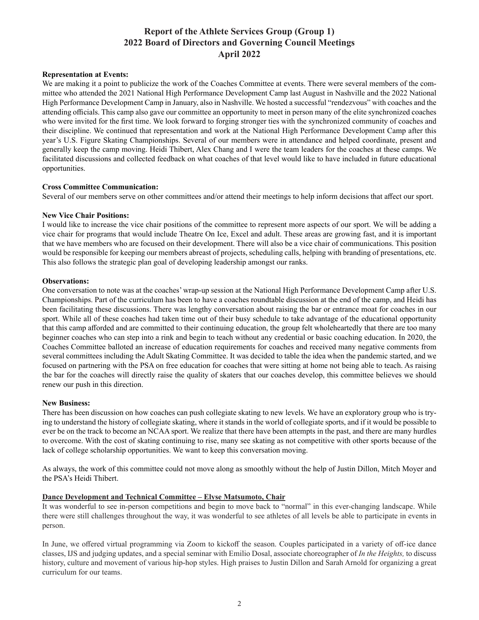#### **Representation at Events:**

We are making it a point to publicize the work of the Coaches Committee at events. There were several members of the committee who attended the 2021 National High Performance Development Camp last August in Nashville and the 2022 National High Performance Development Camp in January, also in Nashville. We hosted a successful "rendezvous" with coaches and the attending officials. This camp also gave our committee an opportunity to meet in person many of the elite synchronized coaches who were invited for the first time. We look forward to forging stronger ties with the synchronized community of coaches and their discipline. We continued that representation and work at the National High Performance Development Camp after this year's U.S. Figure Skating Championships. Several of our members were in attendance and helped coordinate, present and generally keep the camp moving. Heidi Thibert, Alex Chang and I were the team leaders for the coaches at these camps. We facilitated discussions and collected feedback on what coaches of that level would like to have included in future educational opportunities.

#### **Cross Committee Communication:**

Several of our members serve on other committees and/or attend their meetings to help inform decisions that affect our sport.

#### **New Vice Chair Positions:**

I would like to increase the vice chair positions of the committee to represent more aspects of our sport. We will be adding a vice chair for programs that would include Theatre On Ice, Excel and adult. These areas are growing fast, and it is important that we have members who are focused on their development. There will also be a vice chair of communications. This position would be responsible for keeping our members abreast of projects, scheduling calls, helping with branding of presentations, etc. This also follows the strategic plan goal of developing leadership amongst our ranks.

#### **Observations:**

One conversation to note was at the coaches' wrap-up session at the National High Performance Development Camp after U.S. Championships. Part of the curriculum has been to have a coaches roundtable discussion at the end of the camp, and Heidi has been facilitating these discussions. There was lengthy conversation about raising the bar or entrance moat for coaches in our sport. While all of these coaches had taken time out of their busy schedule to take advantage of the educational opportunity that this camp afforded and are committed to their continuing education, the group felt wholeheartedly that there are too many beginner coaches who can step into a rink and begin to teach without any credential or basic coaching education. In 2020, the Coaches Committee balloted an increase of education requirements for coaches and received many negative comments from several committees including the Adult Skating Committee. It was decided to table the idea when the pandemic started, and we focused on partnering with the PSA on free education for coaches that were sitting at home not being able to teach. As raising the bar for the coaches will directly raise the quality of skaters that our coaches develop, this committee believes we should renew our push in this direction.

#### **New Business:**

There has been discussion on how coaches can push collegiate skating to new levels. We have an exploratory group who is trying to understand the history of collegiate skating, where it stands in the world of collegiate sports, and if it would be possible to ever be on the track to become an NCAA sport. We realize that there have been attempts in the past, and there are many hurdles to overcome. With the cost of skating continuing to rise, many see skating as not competitive with other sports because of the lack of college scholarship opportunities. We want to keep this conversation moving.

As always, the work of this committee could not move along as smoothly without the help of Justin Dillon, Mitch Moyer and the PSA's Heidi Thibert.

#### **Dance Development and Technical Committee – Elyse Matsumoto, Chair**

It was wonderful to see in-person competitions and begin to move back to "normal" in this ever-changing landscape. While there were still challenges throughout the way, it was wonderful to see athletes of all levels be able to participate in events in person.

In June, we offered virtual programming via Zoom to kickoff the season. Couples participated in a variety of off-ice dance classes, IJS and judging updates, and a special seminar with Emilio Dosal, associate choreographer of *In the Heights,* to discuss history, culture and movement of various hip-hop styles. High praises to Justin Dillon and Sarah Arnold for organizing a great curriculum for our teams.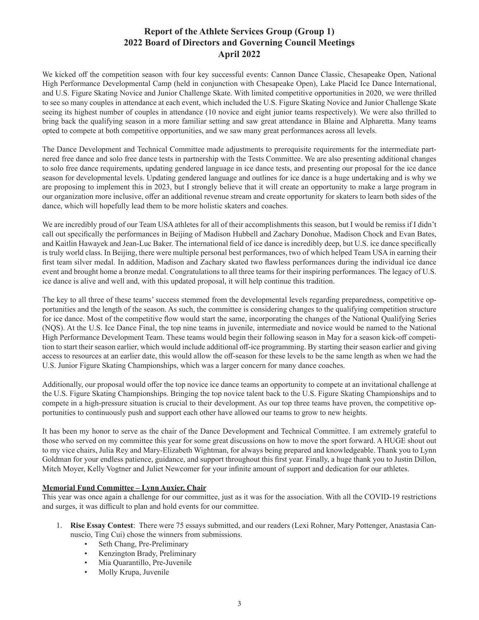We kicked off the competition season with four key successful events: Cannon Dance Classic, Chesapeake Open, National High Performance Developmental Camp (held in conjunction with Chesapeake Open), Lake Placid Ice Dance International, and U.S. Figure Skating Novice and Junior Challenge Skate. With limited competitive opportunities in 2020, we were thrilled to see so many couples in attendance at each event, which included the U.S. Figure Skating Novice and Junior Challenge Skate seeing its highest number of couples in attendance (10 novice and eight junior teams respectively). We were also thrilled to bring back the qualifying season in a more familiar setting and saw great attendance in Blaine and Alpharetta. Many teams opted to compete at both competitive opportunities, and we saw many great performances across all levels.

The Dance Development and Technical Committee made adjustments to prerequisite requirements for the intermediate partnered free dance and solo free dance tests in partnership with the Tests Committee. We are also presenting additional changes to solo free dance requirements, updating gendered language in ice dance tests, and presenting our proposal for the ice dance season for developmental levels. Updating gendered language and outlines for ice dance is a huge undertaking and is why we are proposing to implement this in 2023, but I strongly believe that it will create an opportunity to make a large program in our organization more inclusive, offer an additional revenue stream and create opportunity for skaters to learn both sides of the dance, which will hopefully lead them to be more holistic skaters and coaches.

We are incredibly proud of our Team USA athletes for all of their accomplishments this season, but I would be remiss if I didn't call out specifically the performances in Beijing of Madison Hubbell and Zachary Donohue, Madison Chock and Evan Bates, and Kaitlin Hawayek and Jean-Luc Baker. The international field of ice dance is incredibly deep, but U.S. ice dance specifically is truly world class. In Beijing, there were multiple personal best performances, two of which helped Team USA in earning their first team silver medal. In addition, Madison and Zachary skated two flawless performances during the individual ice dance event and brought home a bronze medal. Congratulations to all three teams for their inspiring performances. The legacy of U.S. ice dance is alive and well and, with this updated proposal, it will help continue this tradition.

The key to all three of these teams' success stemmed from the developmental levels regarding preparedness, competitive opportunities and the length of the season. As such, the committee is considering changes to the qualifying competition structure for ice dance. Most of the competitive flow would start the same, incorporating the changes of the National Qualifying Series (NQS). At the U.S. Ice Dance Final, the top nine teams in juvenile, intermediate and novice would be named to the National High Performance Development Team. These teams would begin their following season in May for a season kick-off competition to start their season earlier, which would include additional off-ice programming. By starting their season earlier and giving access to resources at an earlier date, this would allow the off-season for these levels to be the same length as when we had the U.S. Junior Figure Skating Championships, which was a larger concern for many dance coaches.

Additionally, our proposal would offer the top novice ice dance teams an opportunity to compete at an invitational challenge at the U.S. Figure Skating Championships. Bringing the top novice talent back to the U.S. Figure Skating Championships and to compete in a high-pressure situation is crucial to their development. As our top three teams have proven, the competitive opportunities to continuously push and support each other have allowed our teams to grow to new heights.

It has been my honor to serve as the chair of the Dance Development and Technical Committee. I am extremely grateful to those who served on my committee this year for some great discussions on how to move the sport forward. A HUGE shout out to my vice chairs, Julia Rey and Mary-Elizabeth Wightman, for always being prepared and knowledgeable. Thank you to Lynn Goldman for your endless patience, guidance, and support throughout this first year. Finally, a huge thank you to Justin Dillon, Mitch Moyer, Kelly Vogtner and Juliet Newcomer for your infinite amount of support and dedication for our athletes.

### **Memorial Fund Committee – Lynn Auxier, Chair**

This year was once again a challenge for our committee, just as it was for the association. With all the COVID-19 restrictions and surges, it was difficult to plan and hold events for our committee.

- 1. **Rise Essay Contest**: There were 75 essays submitted, and our readers (Lexi Rohner, Mary Pottenger, Anastasia Cannuscio, Ting Cui) chose the winners from submissions.
	- Seth Chang, Pre-Preliminary
	- Kenzington Brady, Preliminary
	- Mia Quarantillo, Pre-Juvenile
	- Molly Krupa, Juvenile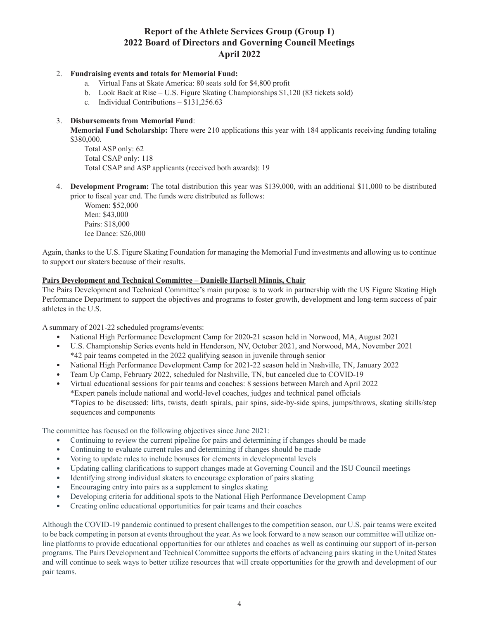### 2. **Fundraising events and totals for Memorial Fund:**

- a. Virtual Fans at Skate America: 80 seats sold for \$4,800 profit
- b. Look Back at Rise U.S. Figure Skating Championships \$1,120 (83 tickets sold)
- c. Individual Contributions \$131,256.63

### 3. **Disbursements from Memorial Fund**:

**Memorial Fund Scholarship:** There were 210 applications this year with 184 applicants receiving funding totaling \$380,000.

Total ASP only: 62 Total CSAP only: 118 Total CSAP and ASP applicants (received both awards): 19

4. **Development Program:** The total distribution this year was \$139,000, with an additional \$11,000 to be distributed prior to fiscal year end. The funds were distributed as follows:

Women: \$52,000 Men: \$43,000 Pairs: \$18,000 Ice Dance: \$26,000

Again, thanks to the U.S. Figure Skating Foundation for managing the Memorial Fund investments and allowing us to continue to support our skaters because of their results.

#### **Pairs Development and Technical Committee – Danielle Hartsell Minnis, Chair**

The Pairs Development and Technical Committee's main purpose is to work in partnership with the US Figure Skating High Performance Department to support the objectives and programs to foster growth, development and long-term success of pair athletes in the U.S.

A summary of 2021-22 scheduled programs/events:

- National High Performance Development Camp for 2020-21 season held in Norwood, MA, August 2021
- U.S. Championship Series events held in Henderson, NV, October 2021, and Norwood, MA, November 2021 \*42 pair teams competed in the 2022 qualifying season in juvenile through senior
- National High Performance Development Camp for 2021-22 season held in Nashville, TN, January 2022
- Team Up Camp, February 2022, scheduled for Nashville, TN, but canceled due to COVID-19
- Virtual educational sessions for pair teams and coaches: 8 sessions between March and April 2022 \*Expert panels include national and world-level coaches, judges and technical panel officials \*Topics to be discussed: lifts, twists, death spirals, pair spins, side-by-side spins, jumps/throws, skating skills/step sequences and components

The committee has focused on the following objectives since June 2021:

- Continuing to review the current pipeline for pairs and determining if changes should be made
- Continuing to evaluate current rules and determining if changes should be made
- Voting to update rules to include bonuses for elements in developmental levels
- Updating calling clarifications to support changes made at Governing Council and the ISU Council meetings
- Identifying strong individual skaters to encourage exploration of pairs skating
- Encouraging entry into pairs as a supplement to singles skating
- Developing criteria for additional spots to the National High Performance Development Camp
- Creating online educational opportunities for pair teams and their coaches

Although the COVID-19 pandemic continued to present challenges to the competition season, our U.S. pair teams were excited to be back competing in person at events throughout the year. As we look forward to a new season our committee will utilize online platforms to provide educational opportunities for our athletes and coaches as well as continuing our support of in-person programs. The Pairs Development and Technical Committee supports the efforts of advancing pairs skating in the United States and will continue to seek ways to better utilize resources that will create opportunities for the growth and development of our pair teams.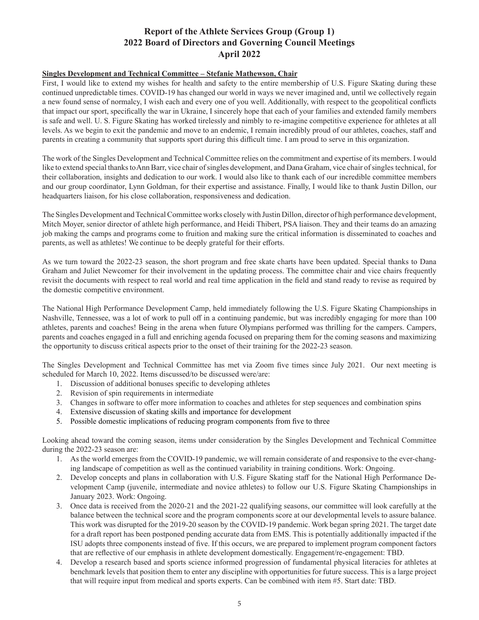## **Singles Development and Technical Committee – Stefanie Mathewson, Chair**

First, I would like to extend my wishes for health and safety to the entire membership of U.S. Figure Skating during these continued unpredictable times. COVID-19 has changed our world in ways we never imagined and, until we collectively regain a new found sense of normalcy, I wish each and every one of you well. Additionally, with respect to the geopolitical conflicts that impact our sport, specifically the war in Ukraine, I sincerely hope that each of your families and extended family members is safe and well. U. S. Figure Skating has worked tirelessly and nimbly to re-imagine competitive experience for athletes at all levels. As we begin to exit the pandemic and move to an endemic, I remain incredibly proud of our athletes, coaches, staff and parents in creating a community that supports sport during this difficult time. I am proud to serve in this organization.

The work of the Singles Development and Technical Committee relies on the commitment and expertise of its members. I would like to extend special thanks to Ann Barr, vice chair of singles development, and Dana Graham, vice chair of singles technical, for their collaboration, insights and dedication to our work. I would also like to thank each of our incredible committee members and our group coordinator, Lynn Goldman, for their expertise and assistance. Finally, I would like to thank Justin Dillon, our headquarters liaison, for his close collaboration, responsiveness and dedication.

The Singles Development and Technical Committee works closely with Justin Dillon, director of high performance development, Mitch Moyer, senior director of athlete high performance, and Heidi Thibert, PSA liaison. They and their teams do an amazing job making the camps and programs come to fruition and making sure the critical information is disseminated to coaches and parents, as well as athletes! We continue to be deeply grateful for their efforts.

As we turn toward the 2022-23 season, the short program and free skate charts have been updated. Special thanks to Dana Graham and Juliet Newcomer for their involvement in the updating process. The committee chair and vice chairs frequently revisit the documents with respect to real world and real time application in the field and stand ready to revise as required by the domestic competitive environment.

The National High Performance Development Camp, held immediately following the U.S. Figure Skating Championships in Nashville, Tennessee, was a lot of work to pull off in a continuing pandemic, but was incredibly engaging for more than 100 athletes, parents and coaches! Being in the arena when future Olympians performed was thrilling for the campers. Campers, parents and coaches engaged in a full and enriching agenda focused on preparing them for the coming seasons and maximizing the opportunity to discuss critical aspects prior to the onset of their training for the 2022-23 season.

The Singles Development and Technical Committee has met via Zoom five times since July 2021. Our next meeting is scheduled for March 10, 2022. Items discussed/to be discussed were/are:

- 1. Discussion of additional bonuses specific to developing athletes
- 2. Revision of spin requirements in intermediate
- 3. Changes in software to offer more information to coaches and athletes for step sequences and combination spins
- 4. Extensive discussion of skating skills and importance for development
- 5. Possible domestic implications of reducing program components from five to three

Looking ahead toward the coming season, items under consideration by the Singles Development and Technical Committee during the 2022-23 season are:

- 1. As the world emerges from the COVID-19 pandemic, we will remain considerate of and responsive to the ever-changing landscape of competition as well as the continued variability in training conditions. Work: Ongoing.
- 2. Develop concepts and plans in collaboration with U.S. Figure Skating staff for the National High Performance Development Camp (juvenile, intermediate and novice athletes) to follow our U.S. Figure Skating Championships in January 2023. Work: Ongoing.
- 3. Once data is received from the 2020-21 and the 2021-22 qualifying seasons, our committee will look carefully at the balance between the technical score and the program components score at our developmental levels to assure balance. This work was disrupted for the 2019-20 season by the COVID-19 pandemic. Work began spring 2021. The target date for a draft report has been postponed pending accurate data from EMS. This is potentially additionally impacted if the ISU adopts three components instead of five. If this occurs, we are prepared to implement program component factors that are reflective of our emphasis in athlete development domestically. Engagement/re-engagement: TBD.
- 4. Develop a research based and sports science informed progression of fundamental physical literacies for athletes at benchmark levels that position them to enter any discipline with opportunities for future success. This is a large project that will require input from medical and sports experts. Can be combined with item #5. Start date: TBD.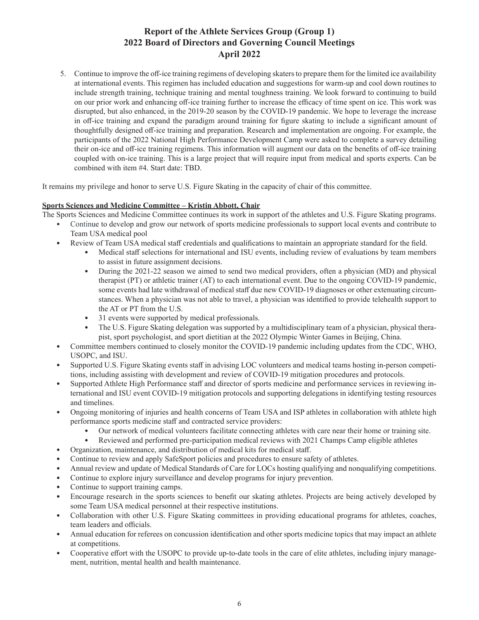5. Continue to improve the off-ice training regimens of developing skaters to prepare them for the limited ice availability at international events. This regimen has included education and suggestions for warm-up and cool down routines to include strength training, technique training and mental toughness training. We look forward to continuing to build on our prior work and enhancing off-ice training further to increase the efficacy of time spent on ice. This work was disrupted, but also enhanced, in the 2019-20 season by the COVID-19 pandemic. We hope to leverage the increase in off-ice training and expand the paradigm around training for figure skating to include a significant amount of thoughtfully designed off-ice training and preparation. Research and implementation are ongoing. For example, the participants of the 2022 National High Performance Development Camp were asked to complete a survey detailing their on-ice and off-ice training regimens. This information will augment our data on the benefits of off-ice training coupled with on-ice training. This is a large project that will require input from medical and sports experts. Can be combined with item #4. Start date: TBD.

It remains my privilege and honor to serve U.S. Figure Skating in the capacity of chair of this committee.

### **Sports Sciences and Medicine Committee – Kristin Abbott, Chair**

The Sports Sciences and Medicine Committee continues its work in support of the athletes and U.S. Figure Skating programs.

- Continue to develop and grow our network of sports medicine professionals to support local events and contribute to Team USA medical pool
- Review of Team USA medical staff credentials and qualifications to maintain an appropriate standard for the field.
	- Medical staff selections for international and ISU events, including review of evaluations by team members to assist in future assignment decisions.
	- During the 2021-22 season we aimed to send two medical providers, often a physician (MD) and physical therapist (PT) or athletic trainer (AT) to each international event. Due to the ongoing COVID-19 pandemic, some events had late withdrawal of medical staff due new COVID-19 diagnoses or other extenuating circumstances. When a physician was not able to travel, a physician was identified to provide telehealth support to the AT or PT from the U.S.
	- 31 events were supported by medical professionals.
	- The U.S. Figure Skating delegation was supported by a multidisciplinary team of a physician, physical therapist, sport psychologist, and sport dietitian at the 2022 Olympic Winter Games in Beijing, China.
- Committee members continued to closely monitor the COVID-19 pandemic including updates from the CDC, WHO, USOPC, and ISU.
- Supported U.S. Figure Skating events staff in advising LOC volunteers and medical teams hosting in-person competitions, including assisting with development and review of COVID-19 mitigation procedures and protocols.
- Supported Athlete High Performance staff and director of sports medicine and performance services in reviewing international and ISU event COVID-19 mitigation protocols and supporting delegations in identifying testing resources and timelines.
- Ongoing monitoring of injuries and health concerns of Team USA and ISP athletes in collaboration with athlete high performance sports medicine staff and contracted service providers:
	- Our network of medical volunteers facilitate connecting athletes with care near their home or training site.
	- Reviewed and performed pre-participation medical reviews with 2021 Champs Camp eligible athletes
	- Organization, maintenance, and distribution of medical kits for medical staff.
- Continue to review and apply SafeSport policies and procedures to ensure safety of athletes.
- Annual review and update of Medical Standards of Care for LOCs hosting qualifying and nonqualifying competitions.
- Continue to explore injury surveillance and develop programs for injury prevention.
- Continue to support training camps.
- Encourage research in the sports sciences to benefit our skating athletes. Projects are being actively developed by some Team USA medical personnel at their respective institutions.
- Collaboration with other U.S. Figure Skating committees in providing educational programs for athletes, coaches, team leaders and officials.
- Annual education for referees on concussion identification and other sports medicine topics that may impact an athlete at competitions.
- Cooperative effort with the USOPC to provide up-to-date tools in the care of elite athletes, including injury management, nutrition, mental health and health maintenance.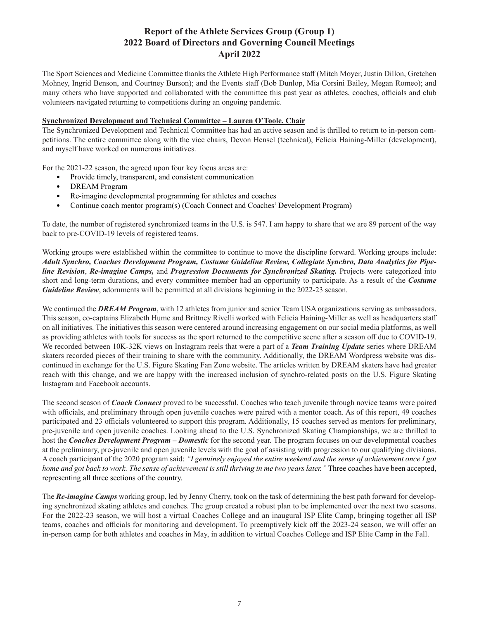The Sport Sciences and Medicine Committee thanks the Athlete High Performance staff (Mitch Moyer, Justin Dillon, Gretchen Mohney, Ingrid Benson, and Courtney Burson); and the Events staff (Bob Dunlop, Mia Corsini Bailey, Megan Romeo); and many others who have supported and collaborated with the committee this past year as athletes, coaches, officials and club volunteers navigated returning to competitions during an ongoing pandemic.

### **Synchronized Development and Technical Committee – Lauren O'Toole, Chair**

The Synchronized Development and Technical Committee has had an active season and is thrilled to return to in-person competitions. The entire committee along with the vice chairs, Devon Hensel (technical), Felicia Haining-Miller (development), and myself have worked on numerous initiatives.

For the 2021-22 season, the agreed upon four key focus areas are:

- Provide timely, transparent, and consistent communication
- DREAM Program
- Re-imagine developmental programming for athletes and coaches
- Continue coach mentor program(s) (Coach Connect and Coaches' Development Program)

To date, the number of registered synchronized teams in the U.S. is 547. I am happy to share that we are 89 percent of the way back to pre-COVID-19 levels of registered teams.

Working groups were established within the committee to continue to move the discipline forward. Working groups include: *Adult Synchro, Coaches Development Program, Costume Guideline Review, Collegiate Synchro, Data Analytics for Pipeline Revision*, *Re-imagine Camps,* and *Progression Documents for Synchronized Skating.* Projects were categorized into short and long-term durations, and every committee member had an opportunity to participate. As a result of the *Costume Guideline Review*, adornments will be permitted at all divisions beginning in the 2022-23 season.

We continued the **DREAM Program**, with 12 athletes from junior and senior Team USA organizations serving as ambassadors. This season, co-captains Elizabeth Hume and Brittney Rivelli worked with Felicia Haining-Miller as well as headquarters staff on all initiatives. The initiatives this season were centered around increasing engagement on our social media platforms, as well as providing athletes with tools for success as the sport returned to the competitive scene after a season off due to COVID-19. We recorded between 10K-32K views on Instagram reels that were a part of a *Team Training Update* series where DREAM skaters recorded pieces of their training to share with the community. Additionally, the DREAM Wordpress website was discontinued in exchange for the U.S. Figure Skating Fan Zone website. The articles written by DREAM skaters have had greater reach with this change, and we are happy with the increased inclusion of synchro-related posts on the U.S. Figure Skating Instagram and Facebook accounts.

The second season of *Coach Connect* proved to be successful. Coaches who teach juvenile through novice teams were paired with officials, and preliminary through open juvenile coaches were paired with a mentor coach. As of this report, 49 coaches participated and 23 officials volunteered to support this program. Additionally, 15 coaches served as mentors for preliminary, pre-juvenile and open juvenile coaches. Looking ahead to the U.S. Synchronized Skating Championships, we are thrilled to host the *Coaches Development Program – Domestic* for the second year. The program focuses on our developmental coaches at the preliminary, pre-juvenile and open juvenile levels with the goal of assisting with progression to our qualifying divisions. A coach participant of the 2020 program said: *"I genuinely enjoyed the entire weekend and the sense of achievement once I got home and got back to work. The sense of achievement is still thriving in me two years later.* "Three coaches have been accepted, representing all three sections of the country.

The *Re-imagine Camps* working group, led by Jenny Cherry, took on the task of determining the best path forward for developing synchronized skating athletes and coaches. The group created a robust plan to be implemented over the next two seasons. For the 2022-23 season, we will host a virtual Coaches College and an inaugural ISP Elite Camp, bringing together all ISP teams, coaches and officials for monitoring and development. To preemptively kick off the 2023-24 season, we will offer an in-person camp for both athletes and coaches in May, in addition to virtual Coaches College and ISP Elite Camp in the Fall.